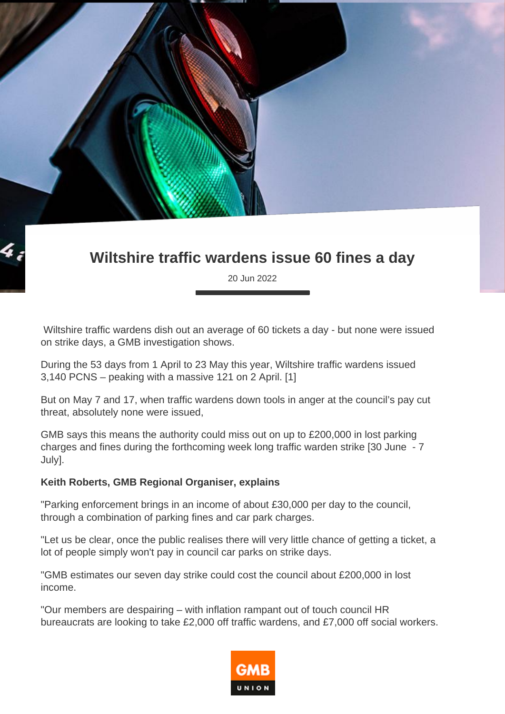## **Wiltshire traffic wardens issue 60 fines a day**

20 Jun 2022

Wiltshire traffic wardens dish out an average of 60 tickets a day - but none were issued on strike days, a GMB investigation shows.

During the 53 days from 1 April to 23 May this year, Wiltshire traffic wardens issued 3,140 PCNS – peaking with a massive 121 on 2 April. [1]

But on May 7 and 17, when traffic wardens down tools in anger at the council's pay cut threat, absolutely none were issued,

GMB says this means the authority could miss out on up to £200,000 in lost parking charges and fines during the forthcoming week long traffic warden strike [30 June - 7 July].

## **Keith Roberts, GMB Regional Organiser, explains**

"Parking enforcement brings in an income of about £30,000 per day to the council, through a combination of parking fines and car park charges.

"Let us be clear, once the public realises there will very little chance of getting a ticket, a lot of people simply won't pay in council car parks on strike days.

"GMB estimates our seven day strike could cost the council about £200,000 in lost income.

"Our members are despairing – with inflation rampant out of touch council HR bureaucrats are looking to take £2,000 off traffic wardens, and £7,000 off social workers.